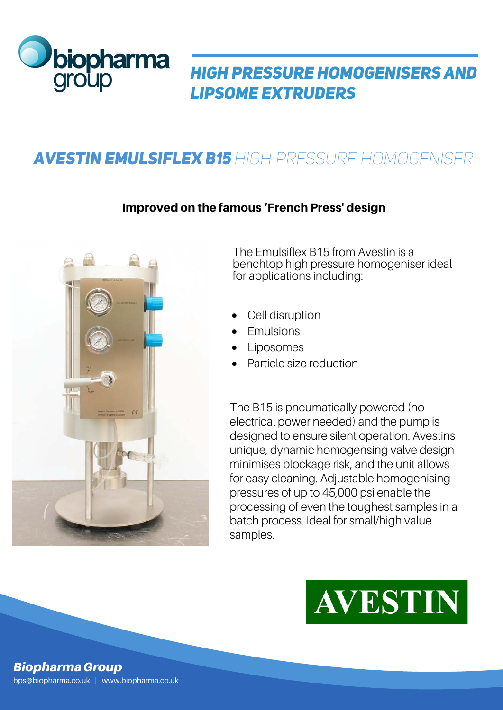

## *High pressure homogenisers and lipsome extruders*

# *Avestin EmulsiFlex B15 High Pressure Homogeniser*

### Improved on the famous 'French Press' design



The Emulsiflex B15 from Avestin is a benchtop high pressure homogeniser ideal for applications including:

- Cell disruption
- **Emulsions**
- Liposomes
- Particle size reduction

The B15 is pneumatically powered (no electrical power needed) and the pump is designed to ensure silent operation. Avestins unique, dynamic homogensing valve design minimises blockage risk, and the unit allows for easy cleaning. Adjustable homogenising pressures of up to 45,000 psi enable the processing of even the toughest samples in a batch process. Ideal for small/high value samples.



#### *Biopharma Group* bps@biopharma.co.uk | www.biopharma.co.uk